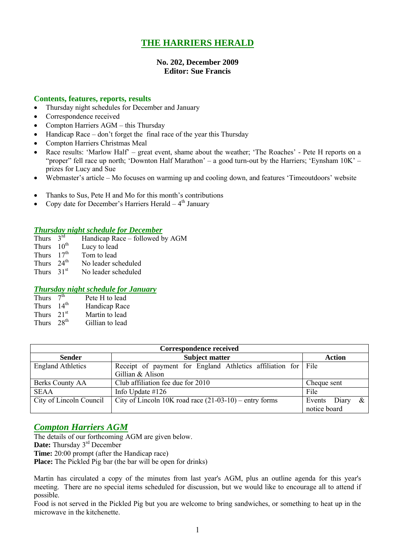# **THE HARRIERS HERALD**

#### **No. 202, December 2009 Editor: Sue Francis**

#### **Contents, features, reports, results**

- Thursday night schedules for December and January
- Correspondence received
- Compton Harriers AGM this Thursday
- Handicap Race don't forget the final race of the year this Thursday
- Compton Harriers Christmas Meal
- Race results: 'Marlow Half' great event, shame about the weather; 'The Roaches' Pete H reports on a "proper" fell race up north; 'Downton Half Marathon' – a good turn-out by the Harriers; 'Eynsham 10K' – prizes for Lucy and Sue
- Webmaster's article Mo focuses on warming up and cooling down, and features 'Timeoutdoors' website
- Thanks to Sus, Pete H and Mo for this month's contributions
- Copy date for December's Harriers Herald  $-4<sup>th</sup>$  January

#### *Thursday night schedule for December*

- Thurs  $3<sup>rd</sup>$ Handicap Race – followed by AGM
- Thurs  $10^{th}$  Lucy to lead<br>Thurs  $17^{th}$  Tom to lead
- Thurs  $17<sup>th</sup>$
- Thurs  $24^{th}$ <br>Thurs  $31^{st}$ No leader scheduled
- No leader scheduled

## *Thursday night schedule for January*

| <b>Thurs</b> | 7 <sup>th</sup>     | Pete H to lead  |
|--------------|---------------------|-----------------|
| <b>Thurs</b> | 14 <sup>th</sup>    | Handicap Race   |
| <b>Thurs</b> | $2.1$ <sup>st</sup> | Martin to lead  |
| Thurs        | $28^{th}$           | Gillian to lead |

| Correspondence received  |                                                               |                      |  |
|--------------------------|---------------------------------------------------------------|----------------------|--|
| <b>Sender</b>            | <b>Subject matter</b>                                         | <b>Action</b>        |  |
| <b>England Athletics</b> | Receipt of payment for England Athletics affiliation for File |                      |  |
|                          | Gillian & Alison                                              |                      |  |
| Berks County AA          | Club affiliation fee due for 2010                             | Cheque sent          |  |
| <b>SEAA</b>              | Info Update $\#126$                                           | File                 |  |
| City of Lincoln Council  | City of Lincoln 10K road race $(21-03-10)$ – entry forms      | Events Diary<br>$\&$ |  |
|                          |                                                               | notice board         |  |

# *Compton Harriers AGM*

The details of our forthcoming AGM are given below.

Date: Thursday 3<sup>rd</sup> December

**Time:** 20:00 prompt (after the Handicap race)

**Place:** The Pickled Pig bar (the bar will be open for drinks)

Martin has circulated a copy of the minutes from last year's AGM, plus an outline agenda for this year's meeting. There are no special items scheduled for discussion, but we would like to encourage all to attend if possible.

Food is not served in the Pickled Pig but you are welcome to bring sandwiches, or something to heat up in the microwave in the kitchenette.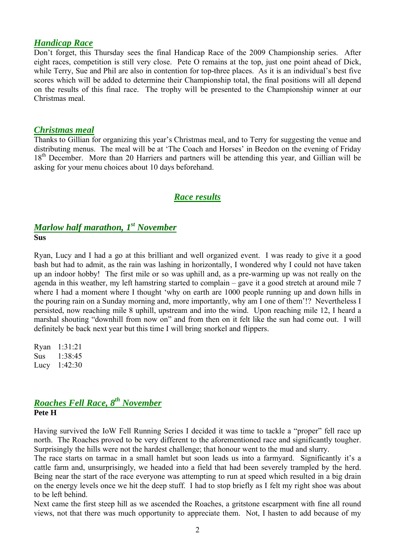## *Handicap Race*

Don't forget, this Thursday sees the final Handicap Race of the 2009 Championship series. After eight races, competition is still very close. Pete O remains at the top, just one point ahead of Dick, while Terry, Sue and Phil are also in contention for top-three places. As it is an individual's best five scores which will be added to determine their Championship total, the final positions will all depend on the results of this final race. The trophy will be presented to the Championship winner at our Christmas meal.

## *Christmas meal*

Thanks to Gillian for organizing this year's Christmas meal, and to Terry for suggesting the venue and distributing menus. The meal will be at 'The Coach and Horses' in Beedon on the evening of Friday 18<sup>th</sup> December. More than 20 Harriers and partners will be attending this year, and Gillian will be asking for your menu choices about 10 days beforehand.

# *Race results*

## *Marlow half marathon, 1 st November* **Sus**

Ryan, Lucy and I had a go at this brilliant and well organized event. I was ready to give it a good bash but had to admit, as the rain was lashing in horizontally, I wondered why I could not have taken up an indoor hobby! The first mile or so was uphill and, as a pre-warming up was not really on the agenda in this weather, my left hamstring started to complain – gave it a good stretch at around mile 7 where I had a moment where I thought 'why on earth are 1000 people running up and down hills in the pouring rain on a Sunday morning and, more importantly, why am I one of them'!? Nevertheless I persisted, now reaching mile 8 uphill, upstream and into the wind. Upon reaching mile 12, I heard a marshal shouting "downhill from now on" and from then on it felt like the sun had come out. I will definitely be back next year but this time I will bring snorkel and flippers.

Ryan 1:31:21 Sus 1:38:45 Lucy 1:42:30

# *Roaches Fell Race, 8 th November* **Pete H**

Having survived the IoW Fell Running Series I decided it was time to tackle a "proper" fell race up north. The Roaches proved to be very different to the aforementioned race and significantly tougher. Surprisingly the hills were not the hardest challenge; that honour went to the mud and slurry.

The race starts on tarmac in a small hamlet but soon leads us into a farmyard. Significantly it's a cattle farm and, unsurprisingly, we headed into a field that had been severely trampled by the herd. Being near the start of the race everyone was attempting to run at speed which resulted in a big drain on the energy levels once we hit the deep stuff. I had to stop briefly as I felt my right shoe was about to be left behind.

Next came the first steep hill as we ascended the Roaches, a gritstone escarpment with fine all round views, not that there was much opportunity to appreciate them. Not, I hasten to add because of my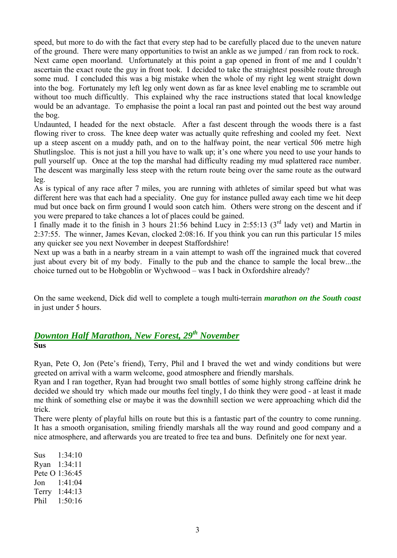speed, but more to do with the fact that every step had to be carefully placed due to the uneven nature of the ground. There were many opportunities to twist an ankle as we jumped / ran from rock to rock. Next came open moorland. Unfortunately at this point a gap opened in front of me and I couldn't ascertain the exact route the guy in front took. I decided to take the straightest possible route through some mud. I concluded this was a big mistake when the whole of my right leg went straight down into the bog. Fortunately my left leg only went down as far as knee level enabling me to scramble out without too much difficultly. This explained why the race instructions stated that local knowledge would be an advantage. To emphasise the point a local ran past and pointed out the best way around the bog.

Undaunted, I headed for the next obstacle. After a fast descent through the woods there is a fast flowing river to cross. The knee deep water was actually quite refreshing and cooled my feet. Next up a steep ascent on a muddy path, and on to the halfway point, the near vertical 506 metre high Shutlingsloe. This is not just a hill you have to walk up; it's one where you need to use your hands to pull yourself up. Once at the top the marshal had difficulty reading my mud splattered race number. The descent was marginally less steep with the return route being over the same route as the outward leg.

As is typical of any race after 7 miles, you are running with athletes of similar speed but what was different here was that each had a speciality. One guy for instance pulled away each time we hit deep mud but once back on firm ground I would soon catch him. Others were strong on the descent and if you were prepared to take chances a lot of places could be gained.

I finally made it to the finish in 3 hours  $21:56$  behind Lucy in 2:55:13 (3<sup>rd</sup> lady vet) and Martin in 2:37:55. The winner, James Kevan, clocked 2:08:16. If you think you can run this particular 15 miles any quicker see you next November in deepest Staffordshire!

Next up was a bath in a nearby stream in a vain attempt to wash off the ingrained muck that covered just about every bit of my body. Finally to the pub and the chance to sample the local brew...the choice turned out to be Hobgoblin or Wychwood – was I back in Oxfordshire already?

On the same weekend, Dick did well to complete a tough multi-terrain *marathon on the South coast* in just under 5 hours.

# *Downton Half Marathon, New Forest, 29th November* **Sus**

Ryan, Pete O, Jon (Pete's friend), Terry, Phil and I braved the wet and windy conditions but were greeted on arrival with a warm welcome, good atmosphere and friendly marshals.

Ryan and I ran together, Ryan had brought two small bottles of some highly strong caffeine drink he decided we should try which made our mouths feel tingly, I do think they were good - at least it made me think of something else or maybe it was the downhill section we were approaching which did the trick.

There were plenty of playful hills on route but this is a fantastic part of the country to come running. It has a smooth organisation, smiling friendly marshals all the way round and good company and a nice atmosphere, and afterwards you are treated to free tea and buns. Definitely one for next year.

Sus 1:34:10 Ryan 1:34:11 Pete O 1:36:45 Jon 1:41:04 Terry 1:44:13 Phil 1:50:16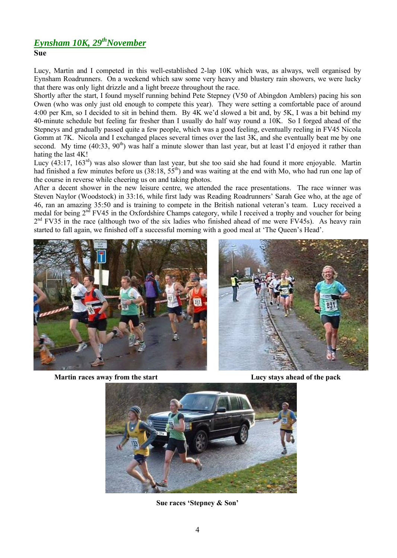# *Eynsham 10K, 29thNovember*

**Sue**

Lucy, Martin and I competed in this well-established 2-lap 10K which was, as always, well organised by Eynsham Roadrunners. On a weekend which saw some very heavy and blustery rain showers, we were lucky that there was only light drizzle and a light breeze throughout the race.

Shortly after the start, I found myself running behind Pete Stepney (V50 of Abingdon Amblers) pacing his son Owen (who was only just old enough to compete this year). They were setting a comfortable pace of around 4:00 per Km, so I decided to sit in behind them. By 4K we'd slowed a bit and, by 5K, I was a bit behind my 40-minute schedule but feeling far fresher than I usually do half way round a 10K. So I forged ahead of the Stepneys and gradually passed quite a few people, which was a good feeling, eventually reeling in FV45 Nicola Gomm at 7K. Nicola and I exchanged places several times over the last 3K, and she eventually beat me by one second. My time (40:33,  $90^{th}$ ) was half a minute slower than last year, but at least I'd enjoyed it rather than hating the last 4K!

Lucy (43:17, 163rd) was also slower than last year, but she too said she had found it more enjoyable. Martin had finished a few minutes before us (38:18, 55<sup>th</sup>) and was waiting at the end with Mo, who had run one lap of the course in reverse while cheering us on and taking photos.

After a decent shower in the new leisure centre, we attended the race presentations. The race winner was Steven Naylor (Woodstock) in 33:16, while first lady was Reading Roadrunners' Sarah Gee who, at the age of 46, ran an amazing 35:50 and is training to compete in the British national veteran's team. Lucy received a medal for being 2<sup>nd</sup> FV45 in the Oxfordshire Champs category, while I received a trophy and voucher for being 2<sup>nd</sup> FV35 in the race (although two of the six ladies who finished ahead of me were FV45s). As heavy rain started to fall again, we finished off a successful morning with a good meal at 'The Queen's Head'.



**Martin races away from the start Lucy stays ahead of the pack** 





**Sue races 'Stepney & Son'**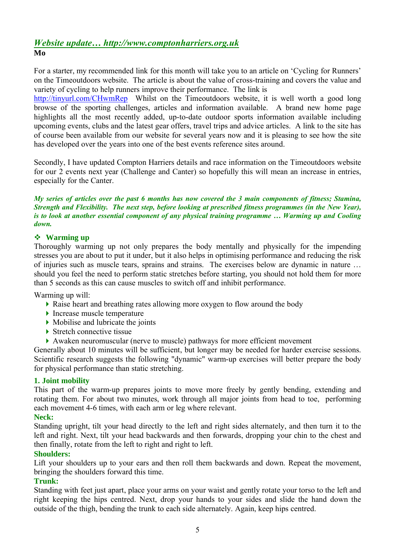# *Website update… http://www.comptonharriers.org.uk* **Mo**

For a starter, my recommended link for this month will take you to an article on 'Cycling for Runners' on the Timeoutdoors website. The article is about the value of cross-training and covers the value and variety of cycling to help runners improve their performance. The link is

http://tinyurl.com/CHwmRep Whilst on the Timeoutdoors website, it is well worth a good long browse of the sporting challenges, articles and information available. A brand new home page highlights all the most recently added, up-to-date outdoor sports information available including upcoming events, clubs and the latest gear offers, travel trips and advice articles. A link to the site has of course been available from our website for several years now and it is pleasing to see how the site has developed over the years into one of the best events reference sites around.

Secondly, I have updated Compton Harriers details and race information on the Timeoutdoors website for our 2 events next year (Challenge and Canter) so hopefully this will mean an increase in entries, especially for the Canter.

*My series of articles over the past 6 months has now covered the 3 main components of fitness; Stamina, Strength and Flexibility. The next step, before looking at prescribed fitness programmes (in the New Year), is to look at another essential component of any physical training programme … Warming up and Cooling down.*

## **Warming up**

Thoroughly warming up not only prepares the body mentally and physically for the impending stresses you are about to put it under, but it also helps in optimising performance and reducing the risk of injuries such as muscle tears, sprains and strains. The exercises below are dynamic in nature … should you feel the need to perform static stretches before starting, you should not hold them for more than 5 seconds as this can cause muscles to switch off and inhibit performance.

Warming up will:

- Raise heart and breathing rates allowing more oxygen to flow around the body
- $\blacktriangleright$  Increase muscle temperature
- $\triangleright$  Mobilise and lubricate the joints
- $\blacktriangleright$  Stretch connective tissue
- Awaken neuromuscular (nerve to muscle) pathways for more efficient movement

Generally about 10 minutes will be sufficient, but longer may be needed for harder exercise sessions. Scientific research suggests the following "dynamic" warm-up exercises will better prepare the body for physical performance than static stretching.

## **1. Joint mobility**

This part of the warm-up prepares joints to move more freely by gently bending, extending and rotating them. For about two minutes, work through all major joints from head to toe, performing each movement 4-6 times, with each arm or leg where relevant.

## **Neck:**

Standing upright, tilt your head directly to the left and right sides alternately, and then turn it to the left and right. Next, tilt your head backwards and then forwards, dropping your chin to the chest and then finally, rotate from the left to right and right to left.

## **Shoulders:**

Lift your shoulders up to your ears and then roll them backwards and down. Repeat the movement, bringing the shoulders forward this time.

## **Trunk:**

Standing with feet just apart, place your arms on your waist and gently rotate your torso to the left and right keeping the hips centred. Next, drop your hands to your sides and slide the hand down the outside of the thigh, bending the trunk to each side alternately. Again, keep hips centred.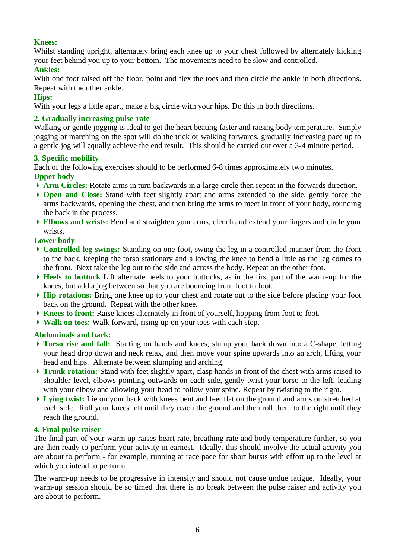## **Knees:**

Whilst standing upright, alternately bring each knee up to your chest followed by alternately kicking your feet behind you up to your bottom. The movements need to be slow and controlled.

## **Ankles:**

With one foot raised off the floor, point and flex the toes and then circle the ankle in both directions. Repeat with the other ankle.

#### **Hips:**

With your legs a little apart, make a big circle with your hips. Do this in both directions.

## **2. Gradually increasing pulse-rate**

Walking or gentle jogging is ideal to get the heart beating faster and raising body temperature. Simply jogging or marching on the spot will do the trick or walking forwards, gradually increasing pace up to a gentle jog will equally achieve the end result. This should be carried out over a 3-4 minute period.

#### **3. Specific mobility**

Each of the following exercises should to be performed 6-8 times approximately two minutes. **Upper body** 

- **Arm Circles:** Rotate arms in turn backwards in a large circle then repeat in the forwards direction.
- **Open and Close:** Stand with feet slightly apart and arms extended to the side, gently force the arms backwards, opening the chest, and then bring the arms to meet in front of your body, rounding the back in the process.
- **Elbows and wrists:** Bend and straighten your arms, clench and extend your fingers and circle your wrists.

#### **Lower body**

- **Controlled leg swings:** Standing on one foot, swing the leg in a controlled manner from the front to the back, keeping the torso stationary and allowing the knee to bend a little as the leg comes to the front. Next take the leg out to the side and across the body. Repeat on the other foot.
- **Heels to buttock** Lift alternate heels to your buttocks, as in the first part of the warm-up for the knees, but add a jog between so that you are bouncing from foot to foot.
- **Hip rotations:** Bring one knee up to your chest and rotate out to the side before placing your foot back on the ground. Repeat with the other knee.
- **Knees to front:** Raise knees alternately in front of yourself, hopping from foot to foot.
- **Walk on toes:** Walk forward, rising up on your toes with each step.

## **Abdominals and back:**

- **Torso rise and fall:** Starting on hands and knees, slump your back down into a C-shape, letting your head drop down and neck relax, and then move your spine upwards into an arch, lifting your head and hips. Alternate between slumping and arching.
- **Trunk rotation:** Stand with feet slightly apart, clasp hands in front of the chest with arms raised to shoulder level, elbows pointing outwards on each side, gently twist your torso to the left, leading with your elbow and allowing your head to follow your spine. Repeat by twisting to the right.
- **Lying twist:** Lie on your back with knees bent and feet flat on the ground and arms outstretched at each side. Roll your knees left until they reach the ground and then roll them to the right until they reach the ground.

#### **4. Final pulse raiser**

The final part of your warm-up raises heart rate, breathing rate and body temperature further, so you are then ready to perform your activity in earnest. Ideally, this should involve the actual activity you are about to perform - for example, running at race pace for short bursts with effort up to the level at which you intend to perform.

The warm-up needs to be progressive in intensity and should not cause undue fatigue. Ideally, your warm-up session should be so timed that there is no break between the pulse raiser and activity you are about to perform.